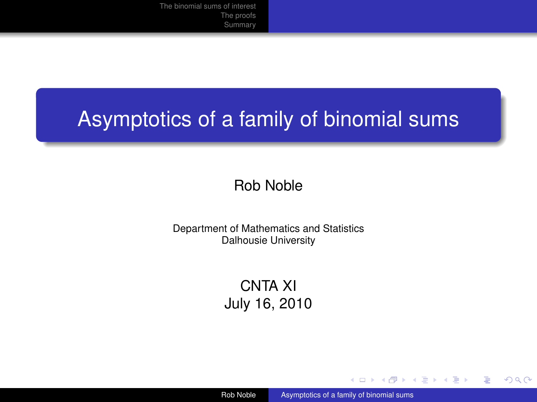# Asymptotics of a family of binomial sums

#### Rob Noble

Department of Mathematics and Statistics Dalhousie University

> CNTA XI July 16, 2010

Rob Noble **[Asymptotics of a family of binomial sums](#page-14-0)** 

イロト イ押ト イヨト イヨト

<span id="page-0-0"></span>∍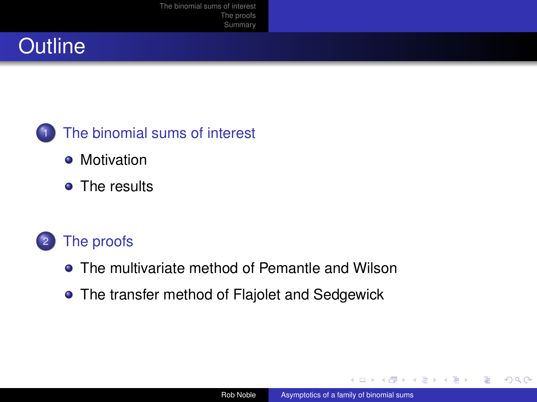## **Outline**



- [Motivation](#page-2-0)
- [The results](#page-4-0)

#### <sup>2</sup> [The proofs](#page-8-0)

- **•** [The multivariate method of Pemantle and Wilson](#page-8-0)
- [The transfer method of Flajolet and Sedgewick](#page-11-0)

4 0 F

Э×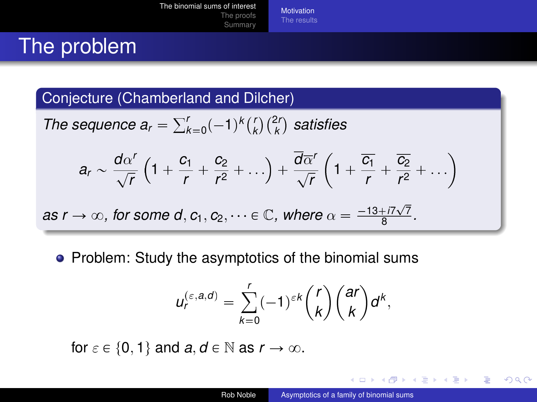**[Motivation](#page-2-0)** [The results](#page-4-0)

# The problem

#### Conjecture (Chamberland and Dilcher)

The sequence 
$$
a_r = \sum_{k=0}^r (-1)^k {r \choose k} {2r \choose k}
$$
 satisfies

$$
a_r \sim \frac{d\alpha'}{\sqrt{r}}\left(1+\frac{c_1}{r}+\frac{c_2}{r^2}+\ldots\right)+\frac{\overline{d}\overline{\alpha}'}{\sqrt{r}}\left(1+\frac{\overline{c_1}}{r}+\frac{\overline{c_2}}{r^2}+\ldots\right)
$$

as 
$$
r \to \infty
$$
, for some d,  $c_1, c_2, \dots \in \mathbb{C}$ , where  $\alpha = \frac{-13 + i7\sqrt{7}}{8}$ .

• Problem: Study the asymptotics of the binomial sums

$$
u_r^{(\varepsilon,a,d)} = \sum_{k=0}^r (-1)^{\varepsilon k} {r \choose k} {ar \choose k} d^k,
$$

for  $\varepsilon \in \{0, 1\}$  and  $a, d \in \mathbb{N}$  as  $r \to \infty$ .

(□ ) ( ) (

化重新润滑

<span id="page-2-0"></span> $\rightarrow$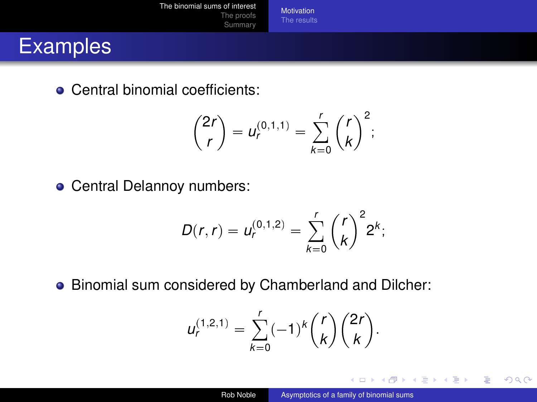**[Motivation](#page-2-0)** [The results](#page-4-0)

#### **Examples**

• Central binomial coefficients:

$$
\binom{2r}{r} = u_r^{(0,1,1)} = \sum_{k=0}^r \binom{r}{k}^2;
$$

• Central Delannoy numbers:

$$
D(r,r) = u_r^{(0,1,2)} = \sum_{k=0}^r {r \choose k}^2 2^k;
$$

Binomial sum considered by Chamberland and Dilcher:

$$
u_r^{(1,2,1)} = \sum_{k=0}^r (-1)^k {r \choose k} {2r \choose k}.
$$

**◆ ロ ▶ → 何** 

D.

化重新润滑

∍

 $\rightarrow$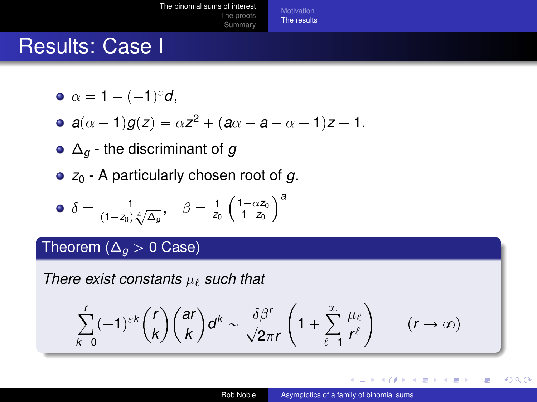[The binomial sums of interest](#page-2-0) [The proofs](#page-8-0) [Summary](#page-14-0) [The results](#page-4-0)

### Results: Case I

$$
\bullet \ \alpha = 1 - (-1)^{\varepsilon} d,
$$

• 
$$
a(\alpha - 1)g(z) = \alpha z^2 + (a\alpha - a - \alpha - 1)z + 1.
$$

- ∆*<sup>g</sup>* the discriminant of *g*
- *z*<sup>0</sup> A particularly chosen root of *g*.

• 
$$
\delta = \frac{1}{(1-z_0)\sqrt[4]{\Delta_g}}, \quad \beta = \frac{1}{z_0} \left(\frac{1-\alpha z_0}{1-z_0}\right)^a
$$

#### Theorem ( $\Delta_q$  > 0 Case)

*There exist constants*  $\mu_{\ell}$  *such that* 

$$
\sum_{k=0}^r (-1)^{\varepsilon k} {r \choose k} {ar \choose k} d^k \sim \frac{\delta \beta^r}{\sqrt{2\pi r}} \left(1 + \sum_{\ell=1}^\infty \frac{\mu_\ell}{r^\ell}\right) \qquad (r \to \infty)
$$

4 D F

D.

<span id="page-4-0"></span>つへへ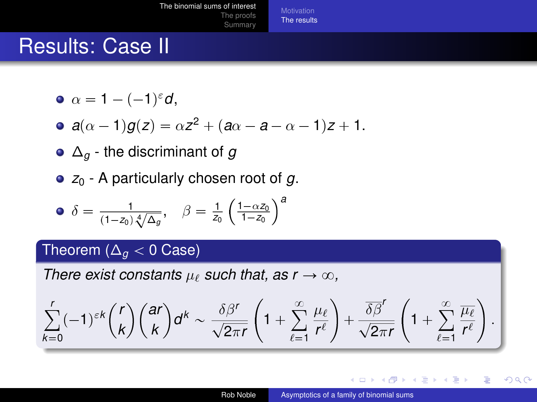[The results](#page-4-0)

### Results: Case II

- $\alpha = 1 (-1)^{\varepsilon}d,$
- $a(\alpha 1)g(z) = \alpha z^2 + (a\alpha a \alpha 1)z + 1.$
- ∆*<sup>g</sup>* the discriminant of *g*
- *z*<sup>0</sup> A particularly chosen root of *g*.

• 
$$
\delta = \frac{1}{(1-z_0)\sqrt[4]{\Delta_g}}, \quad \beta = \frac{1}{z_0} \left(\frac{1-\alpha z_0}{1-z_0}\right)^a
$$

#### Theorem ( $\Delta_q$  < 0 Case)

*There exist constants*  $\mu_{\ell}$  *such that, as r*  $\rightarrow \infty$ *.* 

$$
\sum_{k=0}^r (-1)^{\varepsilon k} {r \choose k} {ar \choose k} d^k \sim \frac{\delta \beta^r}{\sqrt{2\pi r}} \left(1 + \sum_{\ell=1}^\infty \frac{\mu_\ell}{r^\ell}\right) + \frac{\overline{\delta \beta}^r}{\sqrt{2\pi r}} \left(1 + \sum_{\ell=1}^\infty \frac{\overline{\mu_\ell}}{r^\ell}\right).
$$

 $\left\{ \left\{ \bigcap \mathbb{R}^n \right\} \right\}$   $\left\{ \left\{ \bigcap \mathbb{R}^n \right\} \right\}$ 

4 D F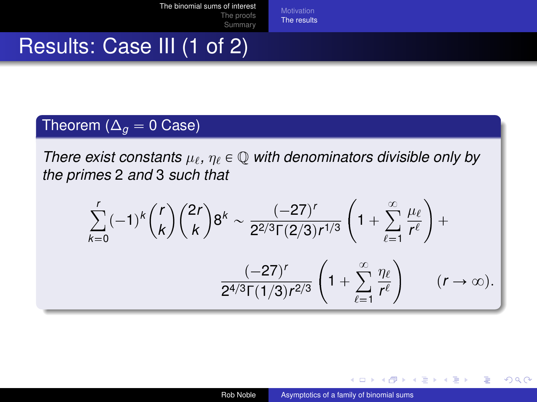[The results](#page-4-0)

### Results: Case III (1 of 2)

#### Theorem ( $\Delta_g = 0$  Case)

*There exist constants*  $\mu_{\ell}$ ,  $\eta_{\ell} \in \mathbb{Q}$  *with denominators divisible only by the primes* 2 *and* 3 *such that*

$$
\sum_{k=0}^{r} (-1)^{k} {r \choose k} {2r \choose k} 8^{k} \sim \frac{(-27)^{r}}{2^{2/3} \Gamma(2/3) r^{1/3}} \left(1 + \sum_{\ell=1}^{\infty} \frac{\mu_{\ell}}{r^{\ell}}\right) + \frac{(-27)^{r}}{2^{4/3} \Gamma(1/3) r^{2/3}} \left(1 + \sum_{\ell=1}^{\infty} \frac{\eta_{\ell}}{r^{\ell}}\right) \qquad (r \to \infty).
$$

イロト イ押ト イヨト イヨト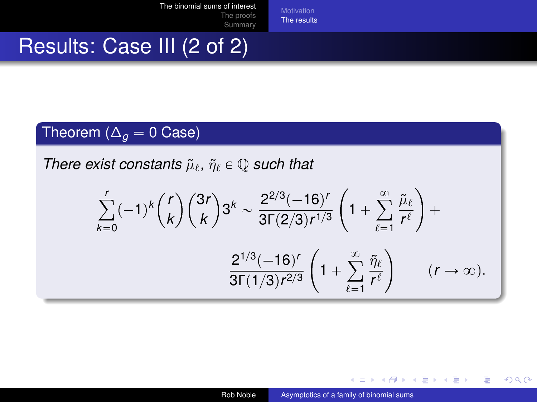[The results](#page-4-0)

### Results: Case III (2 of 2)

#### Theorem ( $\Delta_q = 0$  Case)

*There exist constants*  $\tilde{\mu}_{\ell}$ ,  $\tilde{\eta}_{\ell} \in \mathbb{Q}$  *such that* 

$$
\sum_{k=0}^{r}(-1)^{k}\binom{r}{k}\binom{3r}{k}3^{k} \sim \frac{2^{2/3}(-16)^{r}}{3\Gamma(2/3)r^{1/3}}\left(1+\sum_{\ell=1}^{\infty}\frac{\tilde{\mu}_{\ell}}{r^{\ell}}\right)+\frac{2^{1/3}(-16)^{r}}{3\Gamma(1/3)r^{2/3}}\left(1+\sum_{\ell=1}^{\infty}\frac{\tilde{\eta}_{\ell}}{r^{\ell}}\right) \qquad (r\to\infty).
$$

**≮ロト ⊀何 ト ⊀ ヨ ト ⊀ ヨ ト** .

∍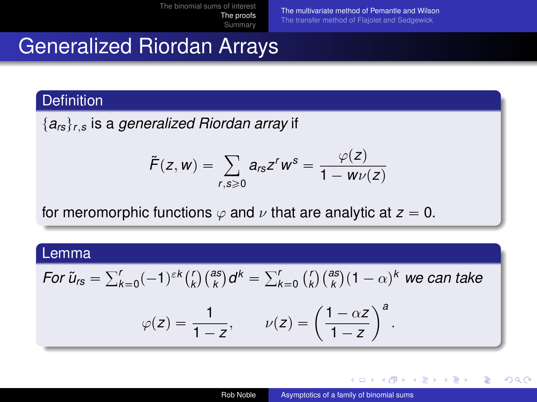[The multivariate method of Pemantle and Wilson](#page-8-0) [The transfer method of Flajolet and Sedgewick](#page-11-0)

# Generalized Riordan Arrays

#### **Definition**

 ${a<sub>rs</sub>}<sub>r,s</sub>$  is a *generalized Riordan array* if

$$
\tilde{F}(z,w)=\sum_{r,s\geqslant 0}a_{rs}z^rw^s=\frac{\varphi(z)}{1-w\nu(z)}
$$

for meromorphic functions  $\varphi$  and  $\nu$  that are analytic at  $z = 0$ .

#### Lemma

For 
$$
\tilde{u}_{rs} = \sum_{k=0}^{r} (-1)^{\varepsilon k} {r \choose k} {as \choose k} d^k = \sum_{k=0}^{r} {r \choose k} {as \choose k} (1 - \alpha)^k
$$
 we can take  

$$
\varphi(z) = \frac{1}{1 - z}, \qquad \nu(z) = \left(\frac{1 - \alpha z}{1 - z}\right)^a.
$$

<span id="page-8-0"></span>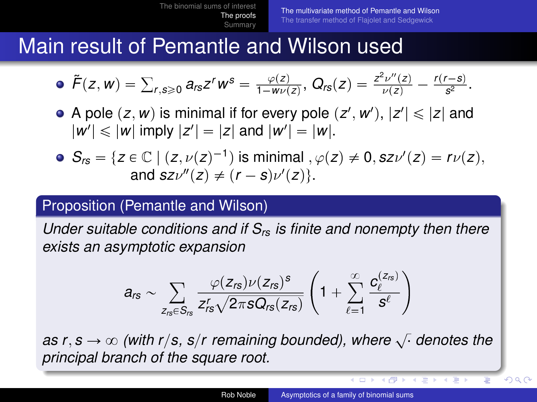### Main result of Pemantle and Wilson used

• 
$$
\tilde{F}(z, w) = \sum_{r,s \geq 0} a_{rs} z^r w^s = \frac{\varphi(z)}{1 - w \nu(z)}, \ Q_{rs}(z) = \frac{z^2 \nu''(z)}{\nu(z)} - \frac{r(r-s)}{s^2}.
$$

- A pole  $(z, w)$  is minimal if for every pole  $(z', w')$ ,  $|z'| \leq |z|$  and  $|w'| \leq |w|$  imply  $|z'| = |z|$  and  $|w'| = |w|.$
- $S_{rs} = \{z \in \mathbb{C} \mid (z, \nu(z)^{-1}) \text{ is minimal }, \varphi(z) \neq 0, sz\nu'(z) = r\nu(z),\}$ and  $s z \nu''(z) \neq (r - s) \nu'(z)$ .

#### Proposition (Pemantle and Wilson)

*Under suitable conditions and if Srs is finite and nonempty then there exists an asymptotic expansion*

$$
a_{rs} \sim \sum_{z_{rs} \in S_{rs}} \frac{\varphi(z_{rs}) \nu(z_{rs})^s}{z_{rs}^r \sqrt{2 \pi s Q_{rs}(z_{rs})}} \left(1 + \sum_{\ell=1}^{\infty} \frac{c_{\ell}^{(z_{rs})}}{s^{\ell}}\right)
$$

*as r*, *s*  $\rightarrow \infty$  (with r/s, s/r remaining bounded), where  $\sqrt{\ }$  denotes the *principal branch of the square root.*

**≮ 向 ▶ ≮ ヨ ▶** 

つへへ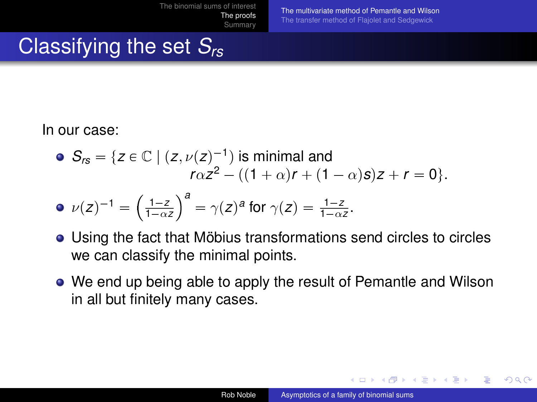[The multivariate method of Pemantle and Wilson](#page-8-0) [The transfer method of Flajolet and Sedgewick](#page-11-0)

# Classifying the set *Srs*

#### In our case:

\n- \n
$$
S_{rs} = \{ z \in \mathbb{C} \mid (z, \nu(z)^{-1}) \text{ is minimal and}
$$
\n
$$
r\alpha z^2 - ((1 + \alpha)r + (1 - \alpha)s)z + r = 0 \}.
$$
\n
\n- \n
$$
\nu(z)^{-1} = \left(\frac{1-z}{1-\alpha z}\right)^a = \gamma(z)^a \text{ for } \gamma(z) = \frac{1-z}{1-\alpha z}.
$$
\n
\n

- Using the fact that Möbius transformations send circles to circles we can classify the minimal points.
- We end up being able to apply the result of Pemantle and Wilson in all but finitely many cases.

イロト イ母 トイヨ トイヨ ト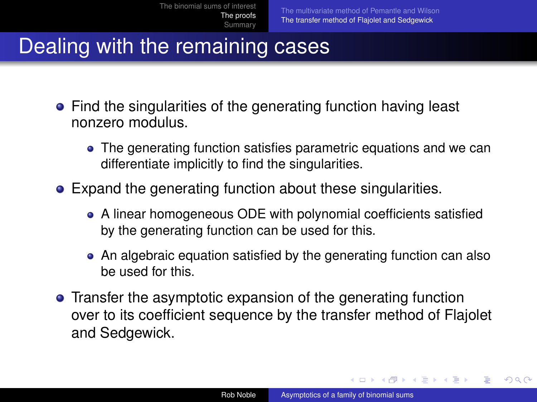## Dealing with the remaining cases

- Find the singularities of the generating function having least nonzero modulus.
	- The generating function satisfies parametric equations and we can differentiate implicitly to find the singularities.
- Expand the generating function about these singularities.
	- A linear homogeneous ODE with polynomial coefficients satisfied by the generating function can be used for this.
	- An algebraic equation satisfied by the generating function can also be used for this.
- **•** Transfer the asymptotic expansion of the generating function over to its coefficient sequence by the transfer method of Flajolet and Sedgewick.

<span id="page-11-0"></span>イロト イ押 トイヨ トイヨ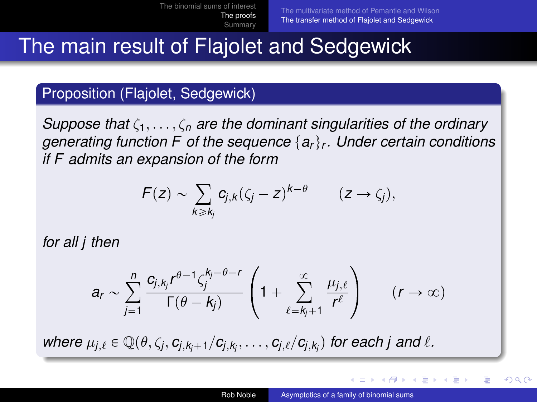## The main result of Flajolet and Sedgewick

#### Proposition (Flajolet, Sedgewick)

*Suppose that* ζ1, . . . , ζ*<sup>n</sup> are the dominant singularities of the ordinary generating function F of the sequence* {a<sub>r</sub>}<sub>r</sub>. Under certain conditions *if F admits an expansion of the form*

$$
F(z) \sim \sum_{k \geq k_j} c_{j,k} (\zeta_j - z)^{k-\theta} \qquad (z \to \zeta_j),
$$

*for all j then*

$$
a_r \sim \sum_{j=1}^n \frac{c_{j,k_j}r^{\theta-1}\zeta_j^{k_j-\theta-r}}{\Gamma(\theta-k_j)}\left(1+\sum_{\ell=k_j+1}^\infty \frac{\mu_{j,\ell}}{r^\ell}\right) \qquad (r\to\infty)
$$

 $w$ here  $\mu_{j,\ell} \in \mathbb{Q}(\theta, \zeta_j, c_{j,k_j+1}/c_{j,k_j}, \ldots, c_{j,\ell}/c_{j,k_j})$  for each j and  $\ell$ .

イロト イ押 トイヨ トイヨ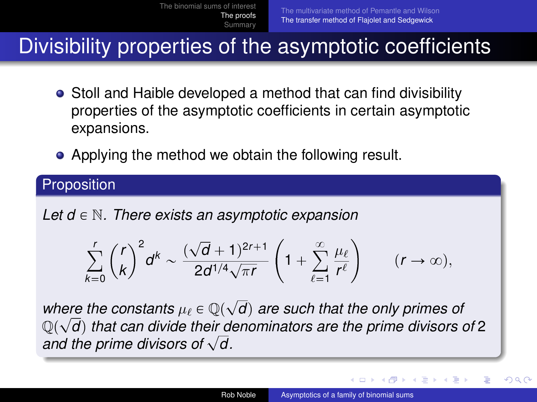### Divisibility properties of the asymptotic coefficients

- Stoll and Haible developed a method that can find divisibility properties of the asymptotic coefficients in certain asymptotic expansions.
- Applying the method we obtain the following result.

#### **Proposition**

*Let*  $d \in \mathbb{N}$ *. There exists an asymptotic expansion* 

$$
\sum_{k=0}^r \binom{r}{k}^2 d^k \sim \frac{(\sqrt{d}+1)^{2r+1}}{2d^{1/4}\sqrt{\pi r}} \left(1+\sum_{\ell=1}^\infty \frac{\mu_\ell}{r^\ell}\right) \qquad (r\to\infty),
$$

where the constants  $\mu_{\ell} \in \mathbb{Q}(\sqrt{d})$  are such that the only primes of  $\mathbb{Q}(\sqrt{d})$  that can divide their denominators are the prime divisors of 2 and the prime divisors of  $\sqrt{d}$ .

∢ □ ▶ ∢r¶ ▶ ∢